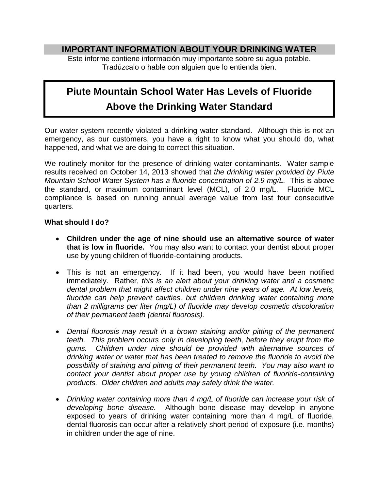## **IMPORTANT INFORMATION ABOUT YOUR DRINKING WATER**

Este informe contiene información muy importante sobre su agua potable. Tradúzcalo o hable con alguien que lo entienda bien.

# **Piute Mountain School Water Has Levels of Fluoride Above the Drinking Water Standard**

Our water system recently violated a drinking water standard. Although this is not an emergency, as our customers, you have a right to know what you should do, what happened, and what we are doing to correct this situation.

We routinely monitor for the presence of drinking water contaminants. Water sample results received on October 14, 2013 showed that *the drinking water provided by Piute Mountain School Water System has a fluoride concentration of 2.9 mg/L.* This is above the standard, or maximum contaminant level (MCL), of 2.0 mg/L. Fluoride MCL compliance is based on running annual average value from last four consecutive quarters.

### **What should I do?**

- **Children under the age of nine should use an alternative source of water that is low in fluoride.** You may also want to contact your dentist about proper use by young children of fluoride-containing products.
- This is not an emergency. If it had been, you would have been notified immediately. Rather, *this is an alert about your drinking water and a cosmetic dental problem that might affect children under nine years of age. At low levels, fluoride can help prevent cavities, but children drinking water containing more than 2 milligrams per liter (mg/L) of fluoride may develop cosmetic discoloration of their permanent teeth (dental fluorosis).*
- *Dental fluorosis may result in a brown staining and/or pitting of the permanent teeth. This problem occurs only in developing teeth, before they erupt from the gums. Children under nine should be provided with alternative sources of drinking water or water that has been treated to remove the fluoride to avoid the possibility of staining and pitting of their permanent teeth. You may also want to contact your dentist about proper use by young children of fluoride-containing products. Older children and adults may safely drink the water.*
- *Drinking water containing more than 4 mg/L of fluoride can increase your risk of developing bone disease.* Although bone disease may develop in anyone exposed to years of drinking water containing more than 4 mg/L of fluoride, dental fluorosis can occur after a relatively short period of exposure (i.e. months) in children under the age of nine.